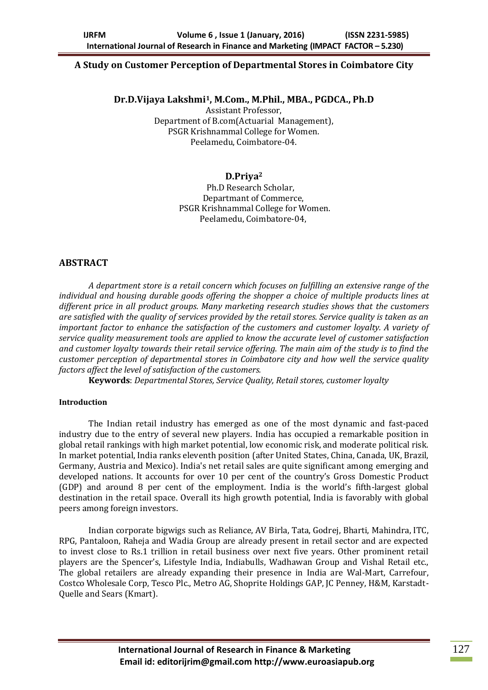### **A Study on Customer Perception of Departmental Stores in Coimbatore City**

### **Dr.D.Vijaya Lakshmi1, M.Com., M.Phil., MBA., PGDCA., Ph.D**

Assistant Professor, Department of B.com(Actuarial Management), PSGR Krishnammal College for Women. Peelamedu, Coimbatore-04.

### **D.Priya<sup>2</sup>**

 Ph.D Research Scholar, Departmant of Commerce, PSGR Krishnammal College for Women. Peelamedu, Coimbatore-04,

# **ABSTRACT**

*A department store is a retail concern which focuses on fulfilling an extensive range of the individual and housing durable goods offering the shopper a choice of multiple products lines at different price in all product groups. Many marketing research studies shows that the customers are satisfied with the quality of services provided by the retail stores. Service quality is taken as an important factor to enhance the satisfaction of the customers and customer loyalty. A variety of service quality measurement tools are applied to know the accurate level of customer satisfaction and customer loyalty towards their retail service offering. The main aim of the study is to find the customer perception of departmental stores in Coimbatore city and how well the service quality factors affect the level of satisfaction of the customers.*

**Keywords**: *Departmental Stores, Service Quality, Retail stores, customer loyalty*

### **Introduction**

The Indian retail industry has emerged as one of the most dynamic and fast-paced industry due to the entry of several new players. India has occupied a remarkable position in global retail rankings with high market potential, low economic risk, and moderate political risk. In market potential, India ranks eleventh position (after United States, China, Canada, UK, Brazil, Germany, Austria and Mexico). India's net retail sales are quite significant among emerging and developed nations. It accounts for over 10 per cent of the country's Gross Domestic Product (GDP) and around 8 per cent of the employment. India is the world's fifth-largest global destination in the retail space. Overall its high growth potential, India is favorably with global peers among foreign investors.

Indian corporate bigwigs such as Reliance, AV Birla, Tata, Godrej, Bharti, Mahindra, ITC, RPG, Pantaloon, Raheja and Wadia Group are already present in retail sector and are expected to invest close to Rs.1 trillion in retail business over next five years. Other prominent retail players are the Spencer's, Lifestyle India, Indiabulls, Wadhawan Group and Vishal Retail etc., The global retailers are already expanding their presence in India are Wal-Mart, Carrefour, Costco Wholesale Corp, Tesco Plc., Metro AG, Shoprite Holdings GAP, JC Penney, H&M, Karstadt-Quelle and Sears (Kmart).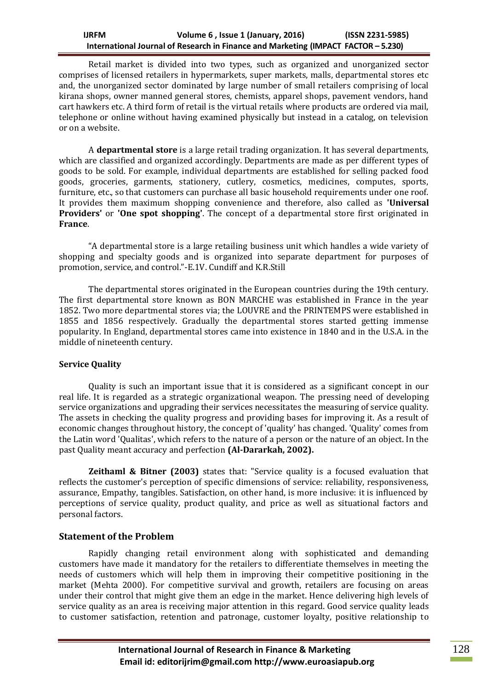Retail market is divided into two types, such as organized and unorganized sector comprises of licensed retailers in hypermarkets, super markets, malls, departmental stores etc and, the unorganized sector dominated by large number of small retailers comprising of local kirana shops, owner manned general stores, chemists, apparel shops, pavement vendors, hand cart hawkers etc. A third form of retail is the virtual retails where products are ordered via mail, telephone or online without having examined physically but instead in a catalog, on television or on a website.

A **departmental store** is a large retail trading organization. It has several departments, which are classified and organized accordingly. Departments are made as per different types of goods to be sold. For example, individual departments are established for selling packed food goods, groceries, garments, stationery, cutlery, cosmetics, medicines, computes, sports, furniture, etc., so that customers can purchase all basic household requirements under one roof. It provides them maximum shopping convenience and therefore, also called as **'Universal Providers'** or **'One spot shopping'**. The concept of a departmental store first originated in **France**.

"A departmental store is a large retailing business unit which handles a wide variety of shopping and specialty goods and is organized into separate department for purposes of promotion, service, and control."-E.1V. Cundiff and K.R.Still

The departmental stores originated in the European countries during the 19th century. The first departmental store known as BON MARCHE was established in France in the year 1852. Two more departmental stores via; the LOUVRE and the PRINTEMPS were established in 1855 and 1856 respectively. Gradually the departmental stores started getting immense popularity. In England, departmental stores came into existence in 1840 and in the U.S.A. in the middle of nineteenth century.

### **Service Quality**

Quality is such an important issue that it is considered as a significant concept in our real life. It is regarded as a strategic organizational weapon. The pressing need of developing service organizations and upgrading their services necessitates the measuring of service quality. The assets in checking the quality progress and providing bases for improving it. As a result of economic changes throughout history, the concept of 'quality' has changed. 'Quality' comes from the Latin word 'Qualitas', which refers to the nature of a person or the nature of an object. In the past Quality meant accuracy and perfection **(Al-Dararkah, 2002).**

**Zeithaml & Bitner (2003)** states that: "Service quality is a focused evaluation that reflects the customer's perception of specific dimensions of service: reliability, responsiveness, assurance, Empathy, tangibles. Satisfaction, on other hand, is more inclusive: it is influenced by perceptions of service quality, product quality, and price as well as situational factors and personal factors.

### **Statement of the Problem**

Rapidly changing retail environment along with sophisticated and demanding customers have made it mandatory for the retailers to differentiate themselves in meeting the needs of customers which will help them in improving their competitive positioning in the market (Mehta 2000). For competitive survival and growth, retailers are focusing on areas under their control that might give them an edge in the market. Hence delivering high levels of service quality as an area is receiving major attention in this regard. Good service quality leads to customer satisfaction, retention and patronage, customer loyalty, positive relationship to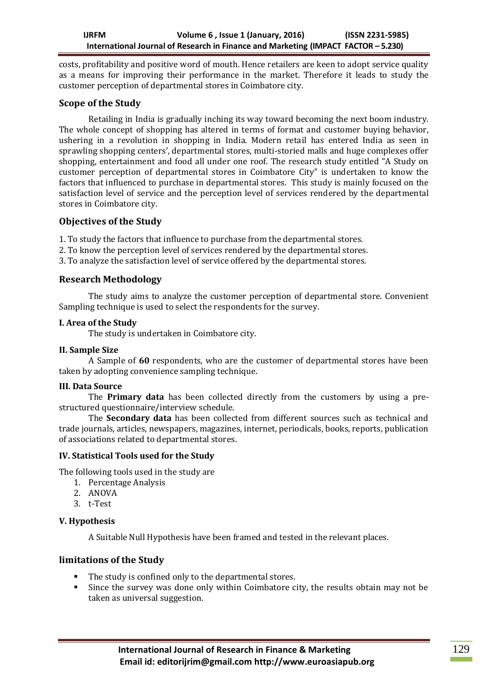costs, profitability and positive word of mouth. Hence retailers are keen to adopt service quality as a means for improving their performance in the market. Therefore it leads to study the customer perception of departmental stores in Coimbatore city.

# **Scope of the Study**

Retailing in India is gradually inching its way toward becoming the next boom industry. The whole concept of shopping has altered in terms of format and customer buying behavior, ushering in a revolution in shopping in India. Modern retail has entered India as seen in sprawling shopping centers', departmental stores, multi-storied malls and huge complexes offer shopping, entertainment and food all under one roof. The research study entitled "A Study on customer perception of departmental stores in Coimbatore City" is undertaken to know the factors that influenced to purchase in departmental stores. This study is mainly focused on the satisfaction level of service and the perception level of services rendered by the departmental stores in Coimbatore city.

### **Objectives of the Study**

1. To study the factors that influence to purchase from the departmental stores.

2. To know the perception level of services rendered by the departmental stores.

3. To analyze the satisfaction level of service offered by the departmental stores.

# **Research Methodology**

The study aims to analyze the customer perception of departmental store. Convenient Sampling technique is used to select the respondents for the survey.

### **I. Area of the Study**

The study is undertaken in Coimbatore city.

### **II. Sample Size**

A Sample of **60** respondents, who are the customer of departmental stores have been taken by adopting convenience sampling technique.

### **III. Data Source**

The **Primary data** has been collected directly from the customers by using a prestructured questionnaire/interview schedule.

The **Secondary data** has been collected from different sources such as technical and trade journals, articles, newspapers, magazines, internet, periodicals, books, reports, publication of associations related to departmental stores.

# **IV. Statistical Tools used for the Study**

The following tools used in the study are

- 1. Percentage Analysis
- 2. ANOVA
- 3. t-Test

# **V. Hypothesis**

A Suitable Null Hypothesis have been framed and tested in the relevant places.

# **limitations of the Study**

- The study is confined only to the departmental stores.
- Since the survey was done only within Coimbatore city, the results obtain may not be taken as universal suggestion.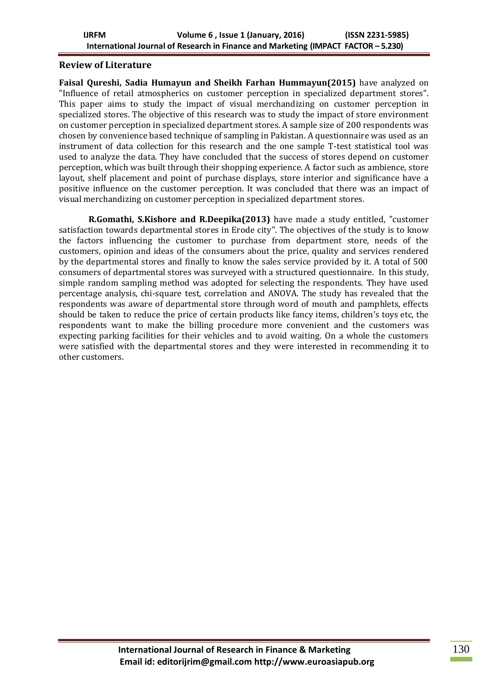### **Review of Literature**

**Faisal Qureshi, Sadia Humayun and Sheikh Farhan Hummayun(2015)** have analyzed on "Influence of retail atmospherics on customer perception in specialized department stores". This paper aims to study the impact of visual merchandizing on customer perception in specialized stores. The objective of this research was to study the impact of store environment on customer perception in specialized department stores. A sample size of 200 respondents was chosen by convenience based technique of sampling in Pakistan. A questionnaire was used as an instrument of data collection for this research and the one sample T-test statistical tool was used to analyze the data. They have concluded that the success of stores depend on customer perception, which was built through their shopping experience. A factor such as ambience, store layout, shelf placement and point of purchase displays, store interior and significance have a positive influence on the customer perception. It was concluded that there was an impact of visual merchandizing on customer perception in specialized department stores.

**R.Gomathi, S.Kishore and R.Deepika(2013)** have made a study entitled, "customer satisfaction towards departmental stores in Erode city". The objectives of the study is to know the factors influencing the customer to purchase from department store, needs of the customers, opinion and ideas of the consumers about the price, quality and services rendered by the departmental stores and finally to know the sales service provided by it. A total of 500 consumers of departmental stores was surveyed with a structured questionnaire. In this study, simple random sampling method was adopted for selecting the respondents. They have used percentage analysis, chi-square test, correlation and ANOVA. The study has revealed that the respondents was aware of departmental store through word of mouth and pamphlets, effects should be taken to reduce the price of certain products like fancy items, children's toys etc, the respondents want to make the billing procedure more convenient and the customers was expecting parking facilities for their vehicles and to avoid waiting. On a whole the customers were satisfied with the departmental stores and they were interested in recommending it to other customers.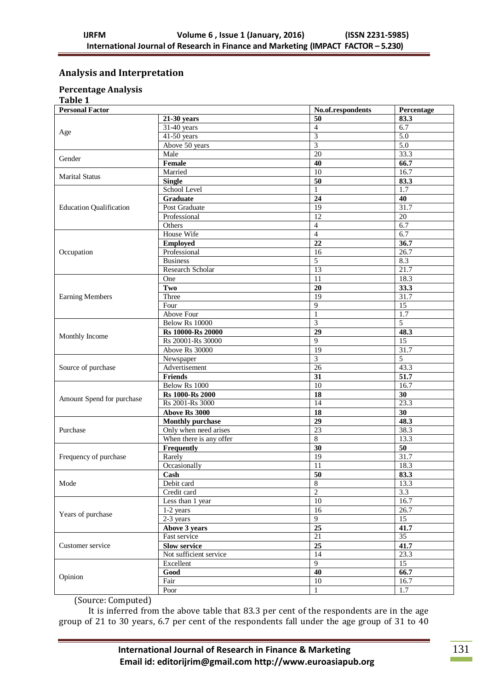# **Analysis and Interpretation**

# **Percentage Analysis**

**Table 1**

| <b>Personal Factor</b>         |                         | No.of.respondents | Percentage       |  |
|--------------------------------|-------------------------|-------------------|------------------|--|
|                                | 21-30 years             | 50                | 83.3             |  |
| Age                            | $31-40$ years           | $\overline{4}$    | 6.7              |  |
|                                | $41-50$ years           | $\overline{3}$    | $\overline{5.0}$ |  |
|                                | Above 50 years          | $\overline{3}$    | 5.0              |  |
|                                | Male                    | $\overline{20}$   | 33.3             |  |
| Gender                         | Female                  | 40                | 66.7             |  |
|                                | Married                 | $\overline{10}$   | 16.7             |  |
| <b>Marital Status</b>          | <b>Single</b>           | 50                | 83.3             |  |
|                                | School Level            | $\mathbf{1}$      | 1.7              |  |
|                                | $\overline{G}$ raduate  | 24                | 40               |  |
| <b>Education Qualification</b> | Post Graduate           | 19                | 31.7             |  |
|                                | Professional            | $\overline{12}$   | $\overline{20}$  |  |
|                                | Others                  | $\overline{4}$    | 6.7              |  |
|                                | House Wife              | $\overline{4}$    | 6.7              |  |
|                                | <b>Employed</b>         | $\overline{22}$   | 36.7             |  |
| Occupation                     | Professional            | 16                | 26.7             |  |
|                                | <b>Business</b>         | $\overline{5}$    | 8.3              |  |
|                                | Research Scholar        | 13                | 21.7             |  |
|                                | One                     | 11                | 18.3             |  |
|                                | Two                     | $\overline{20}$   | 33.3             |  |
| <b>Earning Members</b>         | Three                   | 19                | 31.7             |  |
|                                | Four                    | 9                 | $\overline{15}$  |  |
|                                | <b>Above Four</b>       | $\mathbf{1}$      | 1.7              |  |
|                                | Below Rs 10000          | 3                 | 5                |  |
|                                | Rs 10000-Rs 20000       | $\overline{29}$   | 48.3             |  |
| Monthly Income                 | Rs 20001-Rs 30000       | 9                 | $\overline{15}$  |  |
|                                | Above Rs 30000          | 19                | 31.7             |  |
|                                | Newspaper               | $\overline{3}$    | $\overline{5}$   |  |
| Source of purchase             | Advertisement           | 26                | 43.3             |  |
|                                | <b>Friends</b>          | 31                | 51.7             |  |
|                                | Below Rs 1000           | 10                | 16.7             |  |
|                                | <b>Rs</b> 1000-Rs 2000  | $\overline{18}$   | $\overline{30}$  |  |
| Amount Spend for purchase      | Rs 2001-Rs 3000         | 14                | 23.3             |  |
|                                | Above Rs 3000           | 18                | 30               |  |
|                                | <b>Monthly purchase</b> | 29                | 48.3             |  |
| Purchase                       | Only when need arises   | 23                | 38.3             |  |
|                                | When there is any offer | $\overline{8}$    | 13.3             |  |
|                                | Frequently              | $\overline{30}$   | $\overline{50}$  |  |
| Frequency of purchase          | Rarely                  | 19                | 31.7             |  |
|                                | Occasionally            | 11                | 18.3             |  |
|                                | Cash                    | 50                | 83.3             |  |
| Mode                           | Debit card              | $\overline{8}$    | 13.3             |  |
|                                | Credit card             | $\overline{2}$    | $\overline{3.3}$ |  |
|                                | Less than 1 year        | $10\,$            | 16.7             |  |
|                                | $1-2$ years             | $\overline{16}$   | 26.7             |  |
| Years of purchase              | $2-3$ years             | $\overline{9}$    | $\overline{15}$  |  |
|                                | Above 3 years           | 25                | 41.7             |  |
|                                | Fast service            | 21                | $\overline{35}$  |  |
| Customer service               | <b>Slow service</b>     | $\overline{25}$   | 41.7             |  |
|                                | Not sufficient service  | 14                | 23.3             |  |
|                                | Excellent               | 9                 | 15               |  |
|                                | Good                    | 40                | 66.7             |  |
| Opinion                        | Fair                    | $10\,$            | 16.7             |  |
|                                | Poor                    | $\mathbf{1}$      | 1.7              |  |

(Source: Computed)

It is inferred from the above table that 83.3 per cent of the respondents are in the age group of 21 to 30 years, 6.7 per cent of the respondents fall under the age group of 31 to 40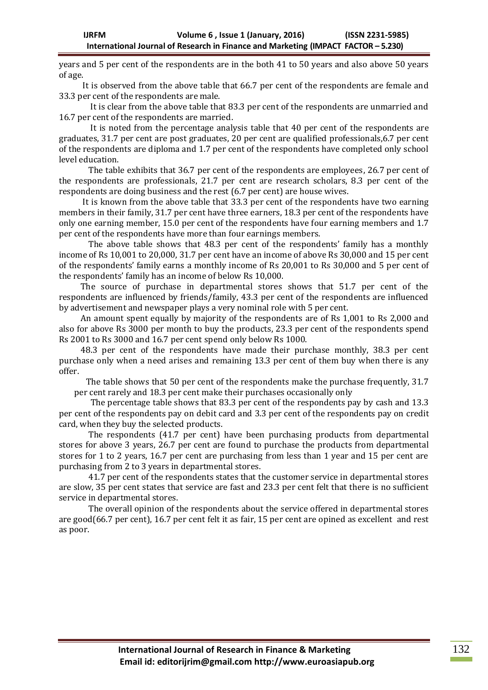years and 5 per cent of the respondents are in the both 41 to 50 years and also above 50 years of age.

 It is observed from the above table that 66.7 per cent of the respondents are female and 33.3 per cent of the respondents are male.

 It is clear from the above table that 83.3 per cent of the respondents are unmarried and 16.7 per cent of the respondents are married.

 It is noted from the percentage analysis table that 40 per cent of the respondents are graduates, 31.7 per cent are post graduates, 20 per cent are qualified professionals,6.7 per cent of the respondents are diploma and 1.7 per cent of the respondents have completed only school level education.

The table exhibits that 36.7 per cent of the respondents are employees, 26.7 per cent of the respondents are professionals, 21.7 per cent are research scholars, 8.3 per cent of the respondents are doing business and the rest (6.7 per cent) are house wives.

 It is known from the above table that 33.3 per cent of the respondents have two earning members in their family, 31.7 per cent have three earners, 18.3 per cent of the respondents have only one earning member, 15.0 per cent of the respondents have four earning members and 1.7 per cent of the respondents have more than four earnings members.

The above table shows that 48.3 per cent of the respondents' family has a monthly income of Rs 10,001 to 20,000, 31.7 per cent have an income of above Rs 30,000 and 15 per cent of the respondents' family earns a monthly income of Rs 20,001 to Rs 30,000 and 5 per cent of the respondents' family has an income of below Rs 10,000.

 The source of purchase in departmental stores shows that 51.7 per cent of the respondents are influenced by friends/family, 43.3 per cent of the respondents are influenced by advertisement and newspaper plays a very nominal role with 5 per cent.

 An amount spent equally by majority of the respondents are of Rs 1,001 to Rs 2,000 and also for above Rs 3000 per month to buy the products, 23.3 per cent of the respondents spend Rs 2001 to Rs 3000 and 16.7 per cent spend only below Rs 1000.

 48.3 per cent of the respondents have made their purchase monthly, 38.3 per cent purchase only when a need arises and remaining 13.3 per cent of them buy when there is any offer.

 The table shows that 50 per cent of the respondents make the purchase frequently, 31.7 per cent rarely and 18.3 per cent make their purchases occasionally only

 The percentage table shows that 83.3 per cent of the respondents pay by cash and 13.3 per cent of the respondents pay on debit card and 3.3 per cent of the respondents pay on credit card, when they buy the selected products.

The respondents (41.7 per cent) have been purchasing products from departmental stores for above 3 years, 26.7 per cent are found to purchase the products from departmental stores for 1 to 2 years, 16.7 per cent are purchasing from less than 1 year and 15 per cent are purchasing from 2 to 3 years in departmental stores.

41.7 per cent of the respondents states that the customer service in departmental stores are slow, 35 per cent states that service are fast and 23.3 per cent felt that there is no sufficient service in departmental stores.

The overall opinion of the respondents about the service offered in departmental stores are good(66.7 per cent), 16.7 per cent felt it as fair, 15 per cent are opined as excellent and rest as poor.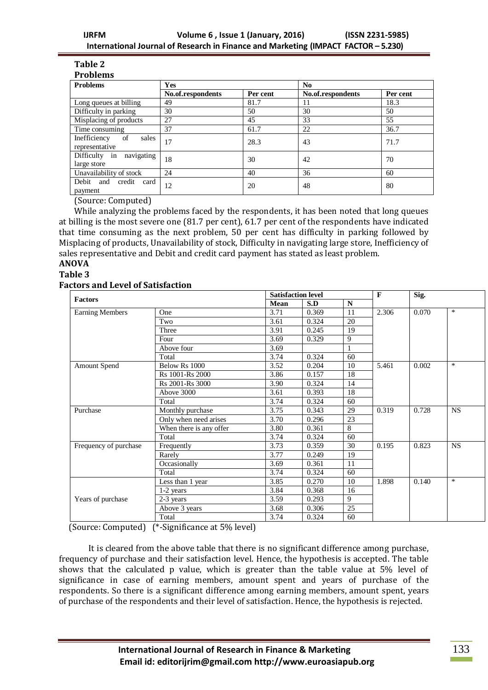#### **Table 2 Problems**

| <b>Problems</b>                               | <b>Yes</b>        |          | N <sub>0</sub>    |          |  |  |
|-----------------------------------------------|-------------------|----------|-------------------|----------|--|--|
|                                               | No.of.respondents | Per cent | No.of.respondents | Per cent |  |  |
| Long queues at billing                        | 49                | 81.7     | 11                | 18.3     |  |  |
| Difficulty in parking                         | 30                | 50       | 30                | 50       |  |  |
| Misplacing of products                        | 27                | 45       | 33                | 55       |  |  |
| Time consuming                                | 37                | 61.7     | 22                | 36.7     |  |  |
| Inefficiency<br>of<br>sales<br>representative | 17                | 28.3     | 43                | 71.7     |  |  |
| Difficulty in<br>navigating<br>large store    | 18                | 30       | 42                | 70       |  |  |
| Unavailability of stock                       | 24                | 40       | 36                | 60       |  |  |
| Debit<br>and<br>credit<br>card<br>payment     | 12                | 20       | 48                | 80       |  |  |

(Source: Computed)

While analyzing the problems faced by the respondents, it has been noted that long queues at billing is the most severe one (81.7 per cent), 61.7 per cent of the respondents have indicated that time consuming as the next problem, 50 per cent has difficulty in parking followed by Misplacing of products, Unavailability of stock, Difficulty in navigating large store, Inefficiency of sales representative and Debit and credit card payment has stated as least problem.

# **ANOVA**

### **Table 3**

### **Factors and Level of Satisfaction**

| <b>Factors</b>         |                         |      | <b>Satisfaction level</b> |              |       | Sig.  |        |
|------------------------|-------------------------|------|---------------------------|--------------|-------|-------|--------|
|                        |                         | Mean | S.D                       | $\mathbf N$  |       |       |        |
| <b>Earning Members</b> | One                     | 3.71 | 0.369                     | 11           | 2.306 | 0.070 | $\ast$ |
|                        | Two                     | 3.61 | 0.324                     | 20           |       |       |        |
|                        | Three                   | 3.91 | 0.245                     | 19           |       |       |        |
|                        | Four                    | 3.69 | 0.329                     | 9            |       |       |        |
|                        | Above four              | 3.69 |                           | $\mathbf{1}$ |       |       |        |
|                        | Total                   | 3.74 | 0.324                     | 60           |       |       |        |
| Amount Spend           | Below Rs 1000           | 3.52 | 0.204                     | 10           | 5.461 | 0.002 | $\ast$ |
|                        | Rs 1001-Rs 2000         | 3.86 | 0.157                     | 18           |       |       |        |
|                        | Rs 2001-Rs 3000         | 3.90 | 0.324                     | 14           |       |       |        |
|                        | Above 3000              | 3.61 | 0.393                     | 18           |       |       |        |
|                        | Total                   | 3.74 | 0.324                     | 60           |       |       |        |
| Purchase               | Monthly purchase        | 3.75 | 0.343                     | 29           | 0.319 | 0.728 | NS     |
|                        | Only when need arises   | 3.70 | 0.296                     | 23           |       |       |        |
|                        | When there is any offer | 3.80 | 0.361                     | 8            |       |       |        |
|                        | Total                   | 3.74 | 0.324                     | 60           |       |       |        |
| Frequency of purchase  | Frequently              | 3.73 | 0.359                     | 30           | 0.195 | 0.823 | NS     |
|                        | Rarely                  | 3.77 | 0.249                     | 19           |       |       |        |
|                        | Occasionally            | 3.69 | 0.361                     | 11           |       |       |        |
|                        | Total                   | 3.74 | 0.324                     | 60           |       |       |        |
|                        | Less than 1 year        | 3.85 | 0.270                     | 10           | 1.898 | 0.140 | $\ast$ |
|                        | 1-2 years               | 3.84 | 0.368                     | 16           |       |       |        |
| Years of purchase      | 2-3 years               | 3.59 | 0.293                     | 9            |       |       |        |
|                        | Above 3 years           | 3.68 | 0.306                     | 25           |       |       |        |
|                        | Total                   | 3.74 | 0.324                     | 60           |       |       |        |

(Source: Computed) (\*-Significance at 5% level)

It is cleared from the above table that there is no significant difference among purchase, frequency of purchase and their satisfaction level. Hence, the hypothesis is accepted. The table shows that the calculated p value, which is greater than the table value at 5% level of significance in case of earning members, amount spent and years of purchase of the respondents. So there is a significant difference among earning members, amount spent, years of purchase of the respondents and their level of satisfaction. Hence, the hypothesis is rejected.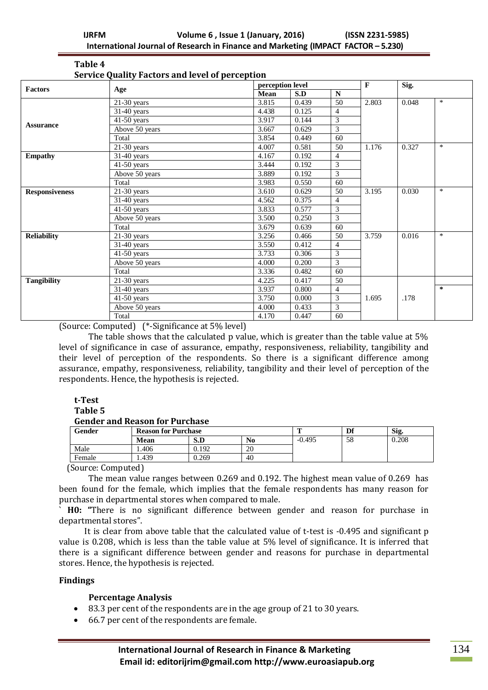| Table 4 |                                                 |  |
|---------|-------------------------------------------------|--|
|         | Service Quality Factors and level of perception |  |

| <b>Factors</b>        | Age                       |       | perception level |                 |       | Sig.  |        |
|-----------------------|---------------------------|-------|------------------|-----------------|-------|-------|--------|
|                       |                           | Mean  | S.D              | $\mathbf N$     |       |       |        |
|                       | $\overline{21}$ -30 years | 3.815 | 0.439            | $\overline{50}$ | 2.803 | 0.048 | $\ast$ |
|                       | 31-40 years               | 4.438 | 0.125            | $\overline{4}$  |       |       |        |
|                       | $41-50$ years             | 3.917 | 0.144            | 3               |       |       |        |
| <b>Assurance</b>      | Above 50 years            | 3.667 | 0.629            | 3               |       |       |        |
|                       | Total                     | 3.854 | 0.449            | 60              |       |       |        |
|                       | $21-30$ years             | 4.007 | 0.581            | 50              | 1.176 | 0.327 | $\ast$ |
| <b>Empathy</b>        | $31-40$ years             | 4.167 | 0.192            | $\overline{4}$  |       |       |        |
|                       | $41-50$ years             | 3.444 | 0.192            | 3               |       |       |        |
|                       | Above 50 years            | 3.889 | 0.192            | 3               |       |       |        |
|                       | Total                     | 3.983 | 0.550            | 60              |       |       |        |
| <b>Responsiveness</b> | $21-30$ years             | 3.610 | 0.629            | 50              | 3.195 | 0.030 | $\ast$ |
|                       | $31-40$ years             | 4.562 | 0.375            | $\overline{4}$  |       |       |        |
|                       | $41-50$ years             | 3.833 | 0.577            | $\overline{3}$  |       |       |        |
|                       | Above 50 years            | 3.500 | 0.250            | 3               |       |       |        |
|                       | Total                     | 3.679 | 0.639            | 60              |       |       |        |
| <b>Reliability</b>    | $21-30$ years             | 3.256 | 0.466            | 50              | 3.759 | 0.016 | $\ast$ |
|                       | $31-40$ years             | 3.550 | 0.412            | $\overline{4}$  |       |       |        |
|                       | $41-50$ years             | 3.733 | 0.306            | 3               |       |       |        |
|                       | Above 50 years            | 4.000 | 0.200            | 3               |       |       |        |
|                       | Total                     | 3.336 | 0.482            | 60              |       |       |        |
| <b>Tangibility</b>    | $\overline{21}$ -30 years | 4.225 | 0.417            | 50              |       |       |        |
|                       | 31-40 years               | 3.937 | 0.800            | $\overline{4}$  |       |       | $\ast$ |
|                       | $41-50$ years             | 3.750 | 0.000            | 3               | 1.695 | .178  |        |
|                       | Above 50 years            | 4.000 | 0.433            | 3               |       |       |        |
|                       | Total                     | 4.170 | 0.447            | 60              |       |       |        |

(Source: Computed) (\*-Significance at 5% level)

The table shows that the calculated p value, which is greater than the table value at 5% level of significance in case of assurance, empathy, responsiveness, reliability, tangibility and their level of perception of the respondents. So there is a significant difference among assurance, empathy, responsiveness, reliability, tangibility and their level of perception of the respondents. Hence, the hypothesis is rejected.

#### **t-Test Table 5**

### **Gender and Reason for Purchase**

| Gender | <b>Reason for Purchase</b> |       |    | Df       | Sig. |       |
|--------|----------------------------|-------|----|----------|------|-------|
|        | <b>Mean</b>                | S.D   | No | $-0.495$ | 58   | 0.208 |
| Male   | .406                       | 0.192 | 20 |          |      |       |
| Female | . 439                      | 0.269 | 40 |          |      |       |

(Source: Computed)

The mean value ranges between 0.269 and 0.192. The highest mean value of 0.269 has been found for the female, which implies that the female respondents has many reason for purchase in departmental stores when compared to male.

` **H0: "**There is no significant difference between gender and reason for purchase in departmental stores".

 It is clear from above table that the calculated value of t-test is -0.495 and significant p value is 0.208, which is less than the table value at 5% level of significance. It is inferred that there is a significant difference between gender and reasons for purchase in departmental stores. Hence, the hypothesis is rejected.

### **Findings**

### **Percentage Analysis**

- 83.3 per cent of the respondents are in the age group of 21 to 30 years.
- 66.7 per cent of the respondents are female.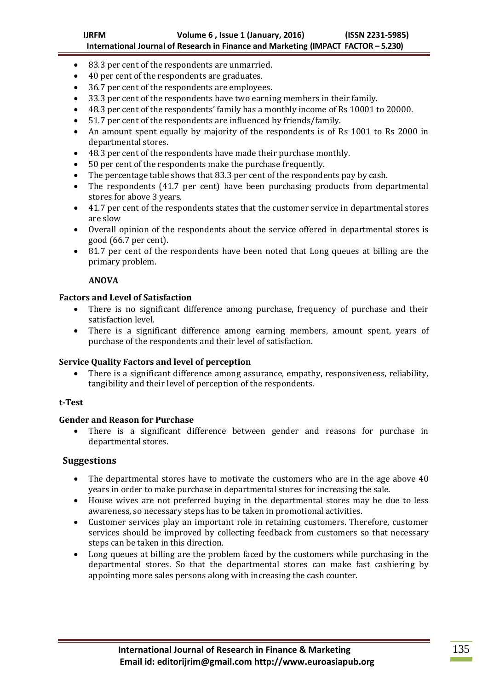- 83.3 per cent of the respondents are unmarried.
- 40 per cent of the respondents are graduates.
- 36.7 per cent of the respondents are employees.
- 33.3 per cent of the respondents have two earning members in their family.
- 48.3 per cent of the respondents' family has a monthly income of Rs 10001 to 20000.
- 51.7 per cent of the respondents are influenced by friends/family.
- An amount spent equally by majority of the respondents is of Rs 1001 to Rs 2000 in departmental stores.
- 48.3 per cent of the respondents have made their purchase monthly.
- 50 per cent of the respondents make the purchase frequently.
- The percentage table shows that 83.3 per cent of the respondents pay by cash.
- The respondents (41.7 per cent) have been purchasing products from departmental stores for above 3 years.
- 41.7 per cent of the respondents states that the customer service in departmental stores are slow
- Overall opinion of the respondents about the service offered in departmental stores is good (66.7 per cent).
- 81.7 per cent of the respondents have been noted that Long queues at billing are the primary problem.

### **ANOVA**

### **Factors and Level of Satisfaction**

- There is no significant difference among purchase, frequency of purchase and their satisfaction level.
- There is a significant difference among earning members, amount spent, years of purchase of the respondents and their level of satisfaction.

### **Service Quality Factors and level of perception**

 There is a significant difference among assurance, empathy, responsiveness, reliability, tangibility and their level of perception of the respondents.

### **t-Test**

# **Gender and Reason for Purchase**

 There is a significant difference between gender and reasons for purchase in departmental stores.

### **Suggestions**

- The departmental stores have to motivate the customers who are in the age above 40 years in order to make purchase in departmental stores for increasing the sale.
- House wives are not preferred buying in the departmental stores may be due to less awareness, so necessary steps has to be taken in promotional activities.
- Customer services play an important role in retaining customers. Therefore, customer services should be improved by collecting feedback from customers so that necessary steps can be taken in this direction.
- Long queues at billing are the problem faced by the customers while purchasing in the departmental stores. So that the departmental stores can make fast cashiering by appointing more sales persons along with increasing the cash counter.